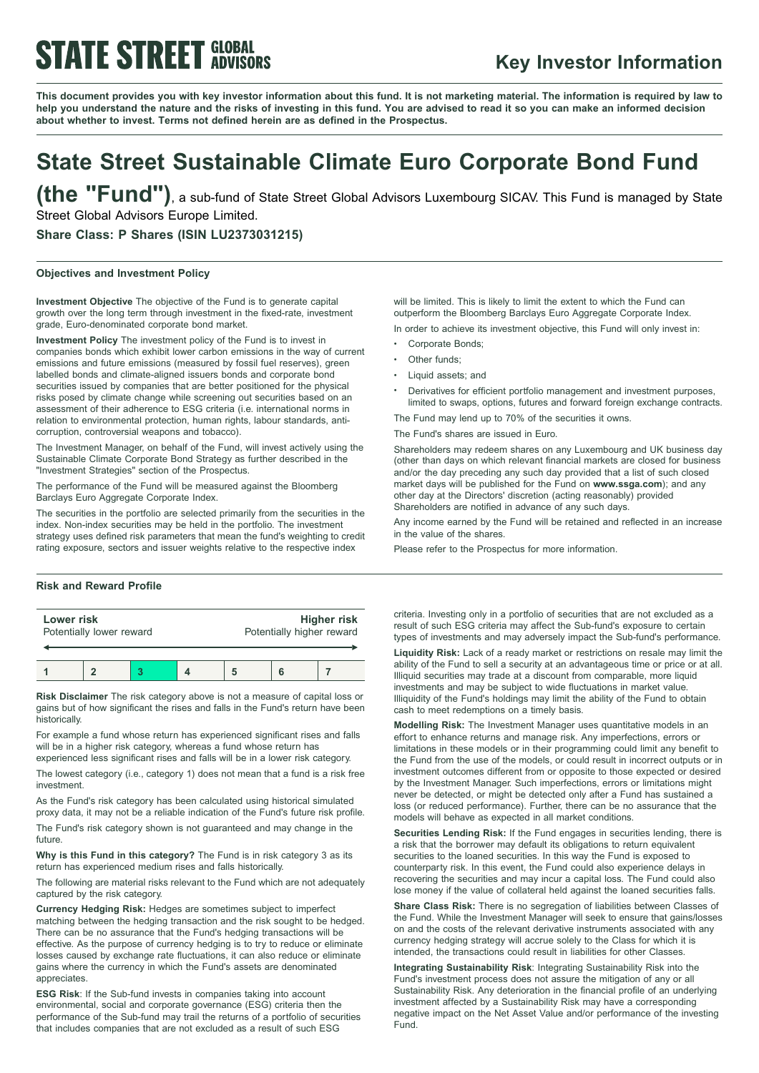# **STATE STREET GLOBAL**

### **Key Investor Information**

This document provides you with key investor information about this fund. It is not marketing material. The information is required by law to help you understand the nature and the risks of investing in this fund. You are advised to read it so you can make an informed decision **about whether to invest. Terms not defined herein are as defined in the Prospectus.**

## **State Street Sustainable Climate Euro Corporate Bond Fund**

**(the "Fund")**, <sup>a</sup> sub-fund of State Street Global Advisors Luxembourg SICAV. This Fund is managed by State Street Global Advisors Europe Limited.

**Share Class: P Shares (ISIN LU2373031215)**

### **Objectives and Investment Policy**

**Investment Objective** The objective of the Fund is to generate capital growth over the long term through investment in the fixed-rate, investment grade, Euro-denominated corporate bond market.

**Investment Policy** The investment policy of the Fund is to invest in companies bonds which exhibit lower carbon emissions in the way of current emissions and future emissions (measured by fossil fuel reserves), green labelled bonds and climate-aligned issuers bonds and corporate bond securities issued by companies that are better positioned for the physical risks posed by climate change while screening out securities based on an assessment of their adherence to ESG criteria (i.e. international norms in relation to environmental protection, human rights, labour standards, anticorruption, controversial weapons and tobacco).

The Investment Manager, on behalf of the Fund, will invest actively using the Sustainable Climate Corporate Bond Strategy as further described in the "Investment Strategies" section of the Prospectus.

The performance of the Fund will be measured against the Bloomberg Barclays Euro Aggregate Corporate Index.

The securities in the portfolio are selected primarily from the securities in the index. Non-index securities may be held in the portfolio. The investment strategy uses defined risk parameters that mean the fund's weighting to credit rating exposure, sectors and issuer weights relative to the respective index

### **Risk and Reward Profile**

| Lower risk               |  |  |  | <b>Higher risk</b>        |  |  |
|--------------------------|--|--|--|---------------------------|--|--|
| Potentially lower reward |  |  |  | Potentially higher reward |  |  |
|                          |  |  |  |                           |  |  |

**Risk Disclaimer** The risk category above is not a measure of capital loss or gains but of how significant the rises and falls in the Fund's return have been historically.

For example a fund whose return has experienced significant rises and falls will be in a higher risk category, whereas a fund whose return has experienced less significant rises and falls will be in a lower risk category.

The lowest category (i.e., category 1) does not mean that a fund is a risk free investment.

As the Fund's risk category has been calculated using historical simulated proxy data, it may not be a reliable indication of the Fund's future risk profile.

The Fund's risk category shown is not guaranteed and may change in the future.

**Why is this Fund in this category?** The Fund is in risk category 3 as its return has experienced medium rises and falls historically.

The following are material risks relevant to the Fund which are not adequately captured by the risk category.

**Currency Hedging Risk:** Hedges are sometimes subject to imperfect matching between the hedging transaction and the risk sought to be hedged. There can be no assurance that the Fund's hedging transactions will be effective. As the purpose of currency hedging is to try to reduce or eliminate losses caused by exchange rate fluctuations, it can also reduce or eliminate gains where the currency in which the Fund's assets are denominated appreciates.

**ESG Risk**: If the Sub-fund invests in companies taking into account environmental, social and corporate governance (ESG) criteria then the performance of the Sub-fund may trail the returns of a portfolio of securities that includes companies that are not excluded as a result of such ESG

will be limited. This is likely to limit the extent to which the Fund can outperform the Bloomberg Barclays Euro Aggregate Corporate Index.

In order to achieve its investment objective, this Fund will only invest in:

- Corporate Bonds:
- Other funds:
- Liquid assets: and
- <sup>b</sup> Derivatives for efficient portfolio management and investment purposes, limited to swaps, options, futures and forward foreign exchange contracts.

The Fund may lend up to 70% of the securities it owns.

The Fund's shares are issued in Euro.

Shareholders may redeem shares on any Luxembourg and UK business day (other than days on which relevant financial markets are closed for business and/or the day preceding any such day provided that a list of such closed market days will be published for the Fund on **www.ssga.com**); and any other day at the Directors' discretion (acting reasonably) provided Shareholders are notified in advance of any such days.

Any income earned by the Fund will be retained and reflected in an increase in the value of the shares.

Please refer to the Prospectus for more information.

criteria. Investing only in a portfolio of securities that are not excluded as a result of such ESG criteria may affect the Sub-fund's exposure to certain types of investments and may adversely impact the Sub-fund's performance.

**Liquidity Risk:** Lack of a ready market or restrictions on resale may limit the ability of the Fund to sell a security at an advantageous time or price or at all. Illiquid securities may trade at a discount from comparable, more liquid investments and may be subject to wide fluctuations in market value. Illiquidity of the Fund's holdings may limit the ability of the Fund to obtain cash to meet redemptions on a timely basis.

**Modelling Risk:** The Investment Manager uses quantitative models in an effort to enhance returns and manage risk. Any imperfections, errors or limitations in these models or in their programming could limit any benefit to the Fund from the use of the models, or could result in incorrect outputs or in investment outcomes different from or opposite to those expected or desired by the Investment Manager. Such imperfections, errors or limitations might never be detected, or might be detected only after a Fund has sustained a loss (or reduced performance). Further, there can be no assurance that the models will behave as expected in all market conditions.

**Securities Lending Risk:** If the Fund engages in securities lending, there is a risk that the borrower may default its obligations to return equivalent securities to the loaned securities. In this way the Fund is exposed to counterparty risk. In this event, the Fund could also experience delays in recovering the securities and may incur a capital loss. The Fund could also lose money if the value of collateral held against the loaned securities falls.

**Share Class Risk:** There is no segregation of liabilities between Classes of the Fund. While the Investment Manager will seek to ensure that gains/losses on and the costs of the relevant derivative instruments associated with any currency hedging strategy will accrue solely to the Class for which it is intended, the transactions could result in liabilities for other Classes.

**Integrating Sustainability Risk**: Integrating Sustainability Risk into the Fund's investment process does not assure the mitigation of any or all Sustainability Risk. Any deterioration in the financial profile of an underlying investment affected by a Sustainability Risk may have a corresponding negative impact on the Net Asset Value and/or performance of the investing Fund.